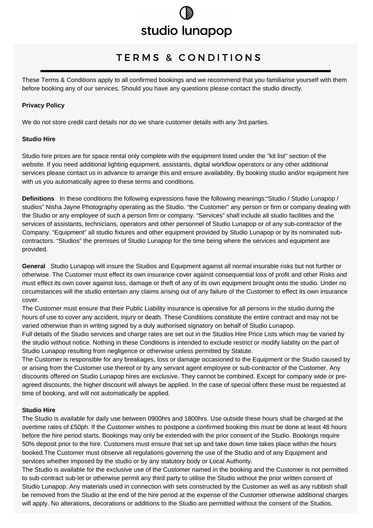# studio lunapop

# TERMS & CONDITIONS

These Terms & Conditions apply to all confirmed bookings and we recommend that you familiarise yourself with them before booking any of our services. Should you have any questions please contact the studio directly.

#### **Privacy Policy**

We do not store credit card details nor do we share customer details with any 3rd parties.

#### **Studio Hire**

Studio hire prices are for space rental only complete with the equipment listed under the "kit list" section of the website. If you need additional lighting equipment, assistants, digital workflow operators or any other additional services please contact us in advance to arrange this and ensure availability. By booking studio and/or equipment hire with us you automatically agree to these terms and conditions.

**Definitions** In these conditions the following expressions have the following meanings:"Studio / Studio Lunapop / studios" Nisha Jayne Photography operating as the Studio. "the Customer" any person or firm or company dealing with the Studio or any employee of such a person firm or company. "Services" shall include all studio facilities and the services of assistants, technicians, operators and other personnel of Studio Lunapop or of any sub-contractor of the Company. "Equipment" all studio fixtures and other equipment provided by Studio Lunapop or by its nominated subcontractors. "Studios" the premises of Studio Lunapop for the time being where the services and equipment are provided.

**General** Studio Lunapop will insure the Studios and Equipment against all normal insurable risks but not further or otherwise. The Customer must effect its own insurance cover against consequential loss of profit and other Risks and must effect its own cover against loss, damage or theft of any of its own equipment brought onto the studio. Under no circumstances will the studio entertain any claims arising out of any failure of the Customer to effect its own insurance cover.

The Customer must ensure that their Public Liability insurance is operative for all persons in the studio during the hours of use to cover any accident, injury or death. These Conditions constitute the entire contract and may not be varied otherwise than in writing signed by a duly authorised signatory on behalf of Studio Lunapop.

Full details of the Studio services and charge rates are set out in the Studios Hire Price Lists which may be varied by the studio without notice. Nothing in these Conditions is intended to exclude restrict or modify liability on the part of Studio Lunapop resulting from negligence or otherwise unless permitted by Statute.

The Customer is responsible for any breakages, loss or damage occasioned to the Equipment or the Studio caused by or arising from the Customer use thereof or by any servant agent employee or sub-contractor of the Customer. Any discounts offered on Studio Lunapop hires are exclusive. They cannot be combined. Except for company wide or preagreed discounts, the higher discount will always be applied. In the case of special offers these must be requested at time of booking, and will not automatically be applied.

#### **Studio Hire**

The Studio is available for daily use between 0900hrs and 1800hrs. Use outside these hours shall be charged at the overtime rates of £50ph. If the Customer wishes to postpone a confirmed booking this must be done at least 48 hours before the hire period starts. Bookings may only be extended with the prior consent of the Studio. Bookings require 50% deposit prior to the hire. Customers must ensure that set up and take down time takes place within the hours booked.The Customer must observe all regulations governing the use of the Studio and of any Equipment and services whether imposed by the studio or by any statutory body or Local Authority.

The Studio is available for the exclusive use of the Customer named in the booking and the Customer is not permitted to sub-contract sub-let or otherwise permit any third party to utilise the Studio without the prior written consent of Studio Lunapop. Any materials used in connection with sets constructed by the Customer as well as any rubbish shall be removed from the Studio at the end of the hire period at the expense of the Customer otherwise additional charges will apply. No alterations, decorations or additions to the Studio are permitted without the consent of the Studios.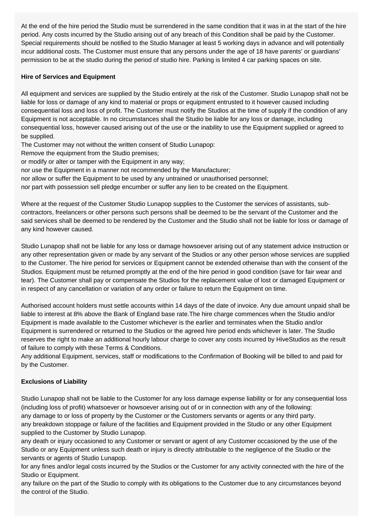At the end of the hire period the Studio must be surrendered in the same condition that it was in at the start of the hire period. Any costs incurred by the Studio arising out of any breach of this Condition shall be paid by the Customer. Special requirements should be notified to the Studio Manager at least 5 working days in advance and will potentially incur additional costs. The Customer must ensure that any persons under the age of 18 have parents' or guardians' permission to be at the studio during the period of studio hire. Parking is limited 4 car parking spaces on site.

## **Hire of Services and Equipment**

All equipment and services are supplied by the Studio entirely at the risk of the Customer. Studio Lunapop shall not be liable for loss or damage of any kind to material or props or equipment entrusted to it however caused including consequential loss and loss of profit. The Customer must notify the Studios at the time of supply if the condition of any Equipment is not acceptable. In no circumstances shall the Studio be liable for any loss or damage, including consequential loss, however caused arising out of the use or the inability to use the Equipment supplied or agreed to be supplied.

The Customer may not without the written consent of Studio Lunapop:

Remove the equipment from the Studio premises;

or modify or alter or tamper with the Equipment in any way;

nor use the Equipment in a manner not recommended by the Manufacturer;

nor allow or suffer the Equipment to be used by any untrained or unauthorised personnel;

nor part with possession sell pledge encumber or suffer any lien to be created on the Equipment.

Where at the request of the Customer Studio Lunapop supplies to the Customer the services of assistants, subcontractors, freelancers or other persons such persons shall be deemed to be the servant of the Customer and the said services shall be deemed to be rendered by the Customer and the Studio shall not be liable for loss or damage of any kind however caused.

Studio Lunapop shall not be liable for any loss or damage howsoever arising out of any statement advice instruction or any other representation given or made by any servant of the Studios or any other person whose services are supplied to the Customer. The hire period for services or Equipment cannot be extended otherwise than with the consent of the Studios. Equipment must be returned promptly at the end of the hire period in good condition (save for fair wear and tear). The Customer shall pay or compensate the Studios for the replacement value of lost or damaged Equipment or in respect of any cancellation or variation of any order or failure to return the Equipment on time.

Authorised account holders must settle accounts within 14 days of the date of invoice. Any due amount unpaid shall be liable to interest at 8% above the Bank of England base rate.The hire charge commences when the Studio and/or Equipment is made available to the Customer whichever is the earlier and terminates when the Studio and/or Equipment is surrendered or returned to the Studios or the agreed hire period ends whichever is later. The Studio reserves the right to make an additional hourly labour charge to cover any costs incurred by HiveStudios as the result of failure to comply with these Terms & Conditions.

Any additional Equipment, services, staff or modifications to the Confirmation of Booking will be billed to and paid for by the Customer.

#### **Exclusions of Liability**

Studio Lunapop shall not be liable to the Customer for any loss damage expense liability or for any consequential loss (including loss of profit) whatsoever or howsoever arising out of or in connection with any of the following: any damage to or loss of property by the Customer or the Customers servants or agents or any third party. any breakdown stoppage or failure of the facilities and Equipment provided in the Studio or any other Equipment supplied to the Customer by Studio Lunapop.

any death or injury occasioned to any Customer or servant or agent of any Customer occasioned by the use of the Studio or any Equipment unless such death or injury is directly attributable to the negligence of the Studio or the servants or agents of Studio Lunapop.

for any fines and/or legal costs incurred by the Studios or the Customer for any activity connected with the hire of the Studio or Equipment.

any failure on the part of the Studio to comply with its obligations to the Customer due to any circumstances beyond the control of the Studio.